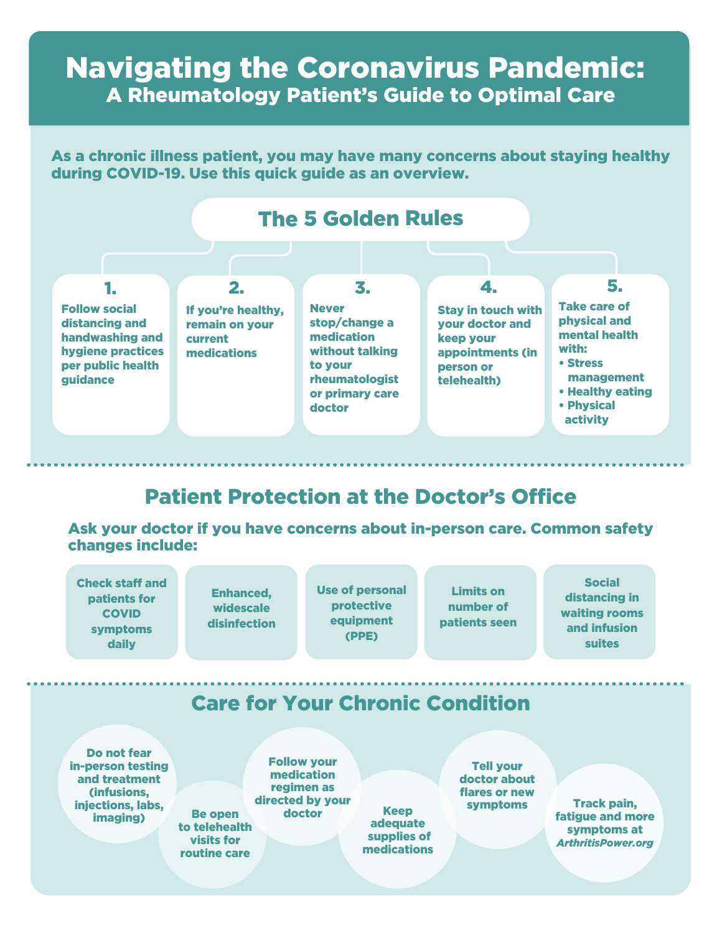## Navigating the Coronavirus Pandemic: A Rheumatology Patient's Guide to Optimal Care

As a chronic illness patient, you may have many concerns about staying healthy during COVID-19. Use this quick guide as an overview.



## Patient Protection at the Doctor's Office

Ask your doctor if you have concerns about in-person care. Common safety changes include: